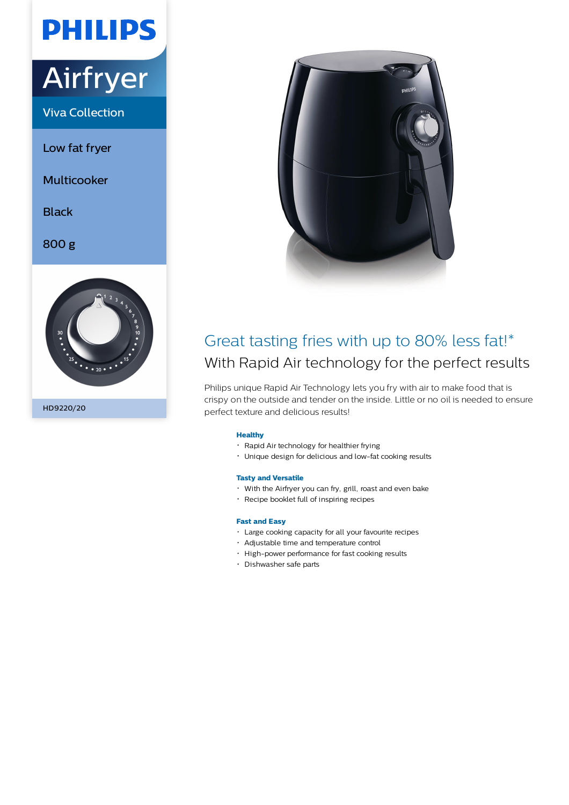# **PHILIPS**

## Airfryer

Viva Collection

Low fat fryer

Multicooker

**Black** 

800 g



```
HD9220/20
```


### Great tasting fries with up to 80% less fat!\* With Rapid Air technology for the perfect results

Philips unique Rapid Air Technology lets you fry with air to make food that is crispy on the outside and tender on the inside. Little or no oil is needed to ensure perfect texture and delicious results!

#### **Healthy**

- Rapid Air technology for healthier frying
- Unique design for delicious and low-fat cooking results

#### **Tasty and Versatile**

- With the Airfryer you can fry, grill, roast and even bake
- Recipe booklet full of inspiring recipes

#### **Fast and Easy**

- Large cooking capacity for all your favourite recipes
- Adjustable time and temperature control
- High-power performance for fast cooking results
- Dishwasher safe parts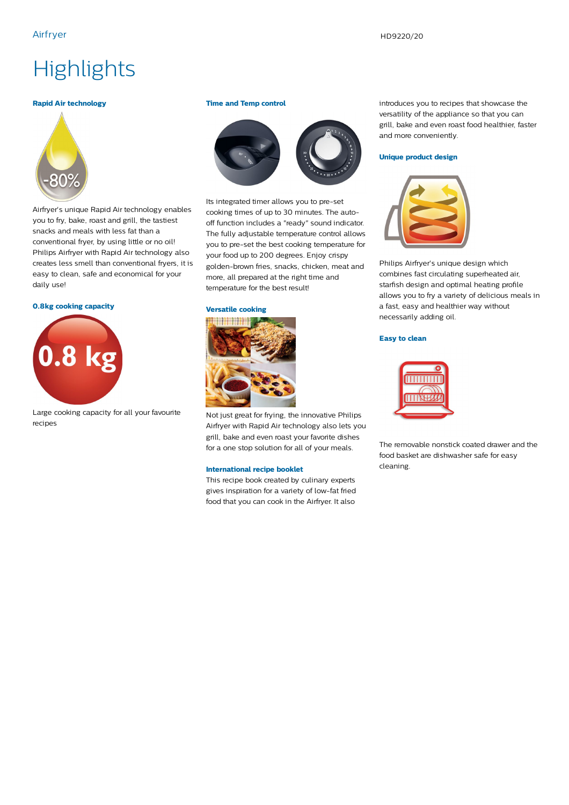## **Highlights**

#### **Rapid Air technology**



Airfryer's unique Rapid Air technology enables you to fry, bake, roast and grill, the tastiest snacks and meals with less fat than a conventional fryer, by using little or no oil! Philips Airfryer with Rapid Air technology also creates less smell than conventional fryers, it is easy to clean, safe and economical for your daily use!

#### **0.8kg cooking capacity**



Large cooking capacity for all your favourite recipes

#### **Time and Temp control**



Its integrated timer allows you to pre-set cooking times of up to 30 minutes. The autooff function includes a "ready" sound indicator. The fully adjustable temperature control allows you to pre-set the best cooking temperature for your food up to 200 degrees. Enjoy crispy golden-brown fries, snacks, chicken, meat and more, all prepared at the right time and temperature for the best result!

#### **Versatile cooking**



Not just great for frying, the innovative Philips Airfryer with Rapid Air technology also lets you grill, bake and even roast your favorite dishes for a one stop solution for all of your meals.

#### **International recipe booklet**

This recipe book created by culinary experts gives inspiration for a variety of low-fat fried food that you can cook in the Airfryer. It also

introduces you to recipes that showcase the versatility of the appliance so that you can grill, bake and even roast food healthier, faster and more conveniently.

#### **Unique product design**



Philips Airfryer's unique design which combines fast circulating superheated air, starfish design and optimal heating profile allows you to fry a variety of delicious meals in a fast, easy and healthier way without necessarily adding oil.

#### **Easy to clean**



The removable nonstick coated drawer and the food basket are dishwasher safe for easy cleaning.